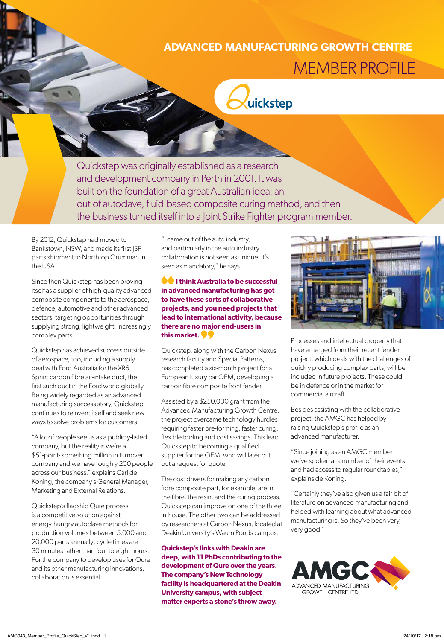## **ADVANCED MANUFACTURING GROWTH CENTRE** MEMBER PROFILE



Quickstep was originally established as a research and development company in Perth in 2001. It was built on the foundation of a great Australian idea: an out-of-autoclave, fluid-based composite curing method, and then the business turned itself into a Joint Strike Fighter program member.

By 2012, Quickstep had moved to Bankstown, NSW, and made its first JSF parts shipment to Northrop Grumman in the USA.

Since then Quickstep has been proving itself as a supplier of high-quality advanced composite components to the aerospace, defence, automotive and other advanced sectors, targeting opportunities through supplying strong, lightweight, increasingly complex parts.

Quickstep has achieved success outside of aerospace, too, including a supply deal with Ford Australia for the XR6 Sprint carbon fibre air-intake duct, the first such duct in the Ford world globally. Being widely regarded as an advanced manufacturing success story, Quickstep continues to reinvent itself and seek new ways to solve problems for customers.

"A lot of people see us as a publicly-listed company, but the reality is we're a \$51-point- something million in turnover company and we have roughly 200 people across our business," explains Carl de Koning, the company's General Manager, Marketing and External Relations.

Quickstep's flagship Qure process is a competitive solution against energy-hungry autoclave methods for production volumes between 5,000 and 20,000 parts annually; cycle times are 30 minutes rather than four to eight hours. For the company to develop uses for Qure and its other manufacturing innovations, collaboration is essential.

"I came out of the auto industry, and particularly in the auto industry collaboration is not seen as unique: it's seen as mandatory," he says.

**<sup>6</sup>** I think Australia to be successful **in advanced manufacturing has got to have these sorts of collaborative projects, and you need projects that lead to international activity, because there are no major end-users in this market.** 

Quickstep, along with the Carbon Nexus research facility and Special Patterns, has completed a six-month project for a European luxury car OEM, developing a carbon fibre composite front fender.

Assisted by a \$250,000 grant from the Advanced Manufacturing Growth Centre, the project overcame technology hurdles requiring faster pre-forming, faster curing, flexible tooling and cost savings. This lead Quickstep to becoming a qualified supplier for the OEM, who will later put out a request for quote.

The cost drivers for making any carbon fibre composite part, for example, are in the fibre, the resin, and the curing process. Quickstep can improve on one of the three in-house. The other two can be addressed by researchers at Carbon Nexus, located at Deakin University's Waurn Ponds campus.

**Quickstep's links with Deakin are deep, with 11 PhDs contributing to the development of Qure over the years. The company's New Technology facility is headquartered at the Deakin University campus, with subject matter experts a stone's throw away.**



Processes and intellectual property that have emerged from their recent fender project, which deals with the challenges of quickly producing complex parts, will be included in future projects. These could be in defence or in the market for commercial aircraft.

Besides assisting with the collaborative project, the AMGC has helped by raising Quickstep's profile as an advanced manufacturer.

"Since joining as an AMGC member we've spoken at a number of their events and had access to regular roundtables," explains de Koning.

"Certainly they've also given us a fair bit of literature on advanced manufacturing and helped with learning about what advanced manufacturing is. So they've been very, very good."